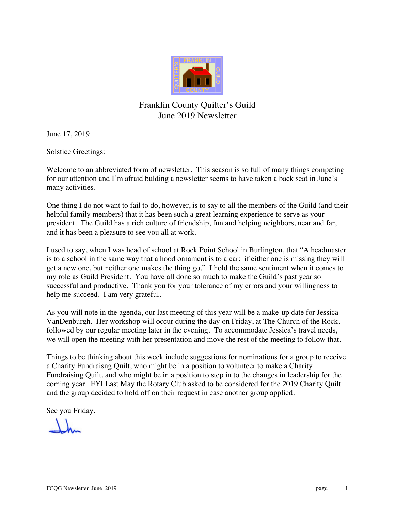

### Franklin County Quilter's Guild June 2019 Newsletter

June 17, 2019

Solstice Greetings:

Welcome to an abbreviated form of newsletter. This season is so full of many things competing for our attention and I'm afraid bulding a newsletter seems to have taken a back seat in June's many activities.

One thing I do not want to fail to do, however, is to say to all the members of the Guild (and their helpful family members) that it has been such a great learning experience to serve as your president. The Guild has a rich culture of friendship, fun and helping neighbors, near and far, and it has been a pleasure to see you all at work.

I used to say, when I was head of school at Rock Point School in Burlington, that "A headmaster is to a school in the same way that a hood ornament is to a car: if either one is missing they will get a new one, but neither one makes the thing go." I hold the same sentiment when it comes to my role as Guild President. You have all done so much to make the Guild's past year so successful and productive. Thank you for your tolerance of my errors and your willingness to help me succeed. I am very grateful.

As you will note in the agenda, our last meeting of this year will be a make-up date for Jessica VanDenburgh. Her workshop will occur during the day on Friday, at The Church of the Rock, followed by our regular meeting later in the evening. To accommodate Jessica's travel needs, we will open the meeting with her presentation and move the rest of the meeting to follow that.

Things to be thinking about this week include suggestions for nominations for a group to receive a Charity Fundraisng Quilt, who might be in a position to volunteer to make a Charity Fundraising Quilt, and who might be in a position to step in to the changes in leadership for the coming year. FYI Last May the Rotary Club asked to be considered for the 2019 Charity Quilt and the group decided to hold off on their request in case another group applied.

See you Friday,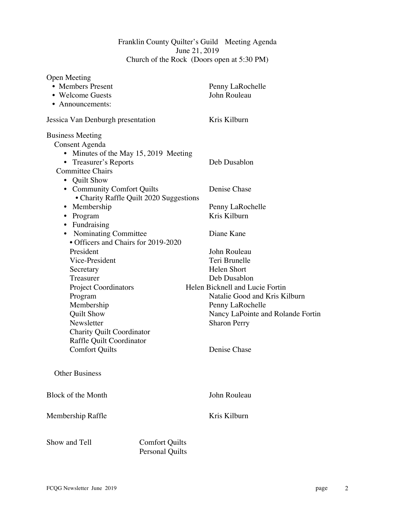#### Franklin County Quilter's Guild Meeting Agenda June 21, 2019 Church of the Rock (Doors open at 5:30 PM)

| <b>Open Meeting</b>                   |                                                 |                                   |
|---------------------------------------|-------------------------------------------------|-----------------------------------|
| • Members Present                     |                                                 | Penny LaRochelle                  |
| • Welcome Guests                      |                                                 | John Rouleau                      |
| • Announcements:                      |                                                 |                                   |
| Jessica Van Denburgh presentation     |                                                 | Kris Kilburn                      |
| <b>Business Meeting</b>               |                                                 |                                   |
| Consent Agenda                        |                                                 |                                   |
| • Minutes of the May 15, 2019 Meeting |                                                 |                                   |
| • Treasurer's Reports                 |                                                 | Deb Dusablon                      |
| <b>Committee Chairs</b>               |                                                 |                                   |
| • Quilt Show                          |                                                 |                                   |
| • Community Comfort Quilts            |                                                 | Denise Chase                      |
|                                       | • Charity Raffle Quilt 2020 Suggestions         |                                   |
| • Membership                          |                                                 | Penny LaRochelle                  |
| • Program                             |                                                 | Kris Kilburn                      |
| • Fundraising                         |                                                 |                                   |
| • Nominating Committee                |                                                 | Diane Kane                        |
| • Officers and Chairs for 2019-2020   |                                                 |                                   |
| President                             |                                                 | John Rouleau                      |
| Vice-President                        |                                                 | Teri Brunelle                     |
| Secretary                             |                                                 | <b>Helen Short</b>                |
| Treasurer                             |                                                 | Deb Dusablon                      |
| <b>Project Coordinators</b>           |                                                 | Helen Bicknell and Lucie Fortin   |
| Program                               |                                                 | Natalie Good and Kris Kilburn     |
| Membership                            |                                                 | Penny LaRochelle                  |
| <b>Quilt Show</b>                     |                                                 | Nancy LaPointe and Rolande Fortin |
| Newsletter                            |                                                 | <b>Sharon Perry</b>               |
| <b>Charity Quilt Coordinator</b>      |                                                 |                                   |
| Raffle Quilt Coordinator              |                                                 |                                   |
| <b>Comfort Quilts</b>                 |                                                 | Denise Chase                      |
| <b>Other Business</b>                 |                                                 |                                   |
|                                       |                                                 |                                   |
| Block of the Month                    |                                                 | John Rouleau                      |
| Membership Raffle                     |                                                 | Kris Kilburn                      |
| Show and Tell                         | <b>Comfort Quilts</b><br><b>Personal Quilts</b> |                                   |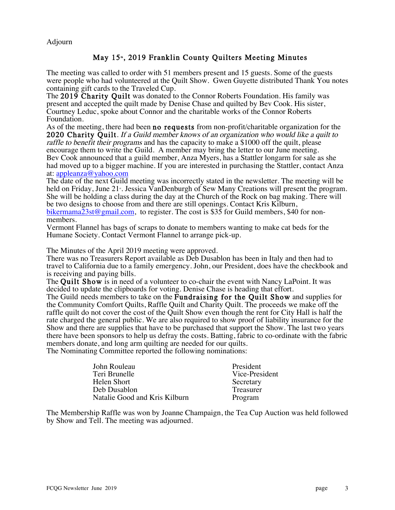#### Adjourn

May 15<sup>\*</sup>, 2019 Franklin County Quilters Meeting Minutes<br>The meeting was called to order with 51 members present and 15 guests. Some of the guests were people who had volunteered at the Quilt Show. Gwen Guyette distributed Thank You notes containing gift cards to the Traveled Cup.

The 2019 Charity Quilt was donated to the Connor Roberts Foundation. His family was present and accepted the quilt made by Denise Chase and quilted by Bev Cook. His sister, Courtney Leduc, spoke about Connor and the charitable works of the Connor Roberts Foundation.

As of the meeting, there had been **no requests** from non-profit/charitable organization for the 2020 Charity Quilt. If a Guild member knows of an organization who would like a quilt to raffle to benefit their programs and has the capacity to make a \$1000 off the quilt, please encourage them to write the Guild. A member may bring the letter to our June meeting. Bev Cook announced that a guild member, Anza Myers, has a Stattler longarm for sale as she had moved up to a bigger machine. If you are interested in purchasing the Stattler, contact Anza at: appleanza@yahoo.com

The date of the next Guild meeting was incorrectly stated in the newsletter. The meeting will be held on Friday, June 21<sup>s</sup>. Jessica VanDenburgh of Sew Many Creations will present the program. She will be holding a class during the day at the Church of the Rock on bag making. There will be two designs to choose from and there are still openings. Contact Kris Kilburn, bikermama23st@gmail.com, to register. The cost is \$35 for Guild members, \$40 for non-<br>members.

Vermont Flannel has bags of scraps to donate to members wanting to make cat beds for the Humane Society. Contact Vermont Flannel to arrange pick-up.

The Minutes of the April 2019 meeting were approved.

There was no Treasurers Report available as Deb Dusablon has been in Italy and then had to travel to California due to a family emergency. John, our President, does have the checkbook and is receiving and paying bills.

The Quilt Show is in need of a volunteer to co-chair the event with Nancy LaPoint. It was decided to update the clipboards for voting. Denise Chase is heading that effort.

The Guild needs members to take on the **Fundraising for the Quilt Show** and supplies for the Community Comfort Quilts, Raffle Quilt and Charity Quilt. The proceeds we make off the raffle quilt do not cover the cost of the Quilt Show even though the rent for City Hall is half the rate charged the general public. We are also required to show proof of liability insurance for the Show and there are supplies that have to be purchased that support the Show. The last two years there have been sponsors to help us defray the costs. Batting, fabric to co-ordinate with the fabric members donate, and long arm quilting are needed for our quilts.

The Nominating Committee reported the following nominations:

| John Rouleau                  | President      |
|-------------------------------|----------------|
| Teri Brunelle                 | Vice-President |
| Helen Short                   | Secretary      |
| Deb Dusablon                  | Treasurer      |
| Natalie Good and Kris Kilburn | Program        |

The Membership Raffle was won by Joanne Champaign, the Tea Cup Auction was held followed by Show and Tell. The meeting was adjourned.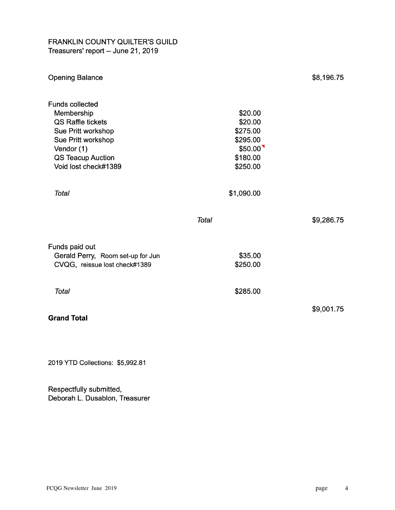#### FRANKLIN COUNTY QUILTER'S GUILD Treasurers' report -- June 21, 2019

| <b>Opening Balance</b>                                                                                                                                                         |                                                                               | \$8,196.75 |
|--------------------------------------------------------------------------------------------------------------------------------------------------------------------------------|-------------------------------------------------------------------------------|------------|
| <b>Funds collected</b><br>Membership<br><b>QS Raffle tickets</b><br>Sue Pritt workshop<br>Sue Pritt workshop<br>Vendor (1)<br><b>QS Teacup Auction</b><br>Void lost check#1389 | \$20.00<br>\$20.00<br>\$275.00<br>\$295.00<br>\$50.00<br>\$180.00<br>\$250.00 |            |
| <b>Total</b>                                                                                                                                                                   | \$1,090.00                                                                    |            |
|                                                                                                                                                                                | <b>Total</b>                                                                  | \$9,286.75 |
| Funds paid out<br>Gerald Perry, Room set-up for Jun<br>CVQG, reissue lost check#1389                                                                                           | \$35.00<br>\$250.00                                                           |            |
| <b>Total</b>                                                                                                                                                                   | \$285.00                                                                      |            |
| <b>Grand Total</b>                                                                                                                                                             |                                                                               | \$9,001.75 |

2019 YTD Collections: \$5,992.81

Respectfully submitted, Deborah L. Dusablon, Treasurer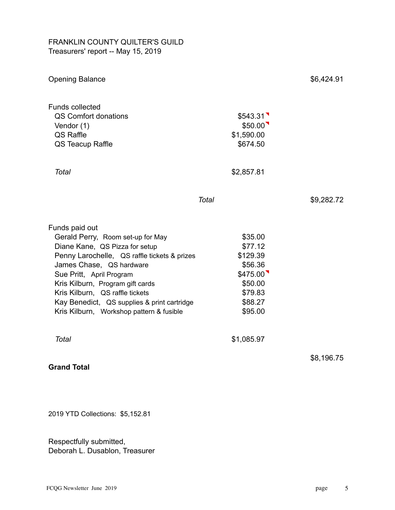#### FRANKLIN COUNTY QUILTER'S GUILD Treasurers' report -- May 15, 2019

| <b>Opening Balance</b>                                                                                                                                                                                                                                                                                                                                          |                                                                                                   | \$6,424.91 |
|-----------------------------------------------------------------------------------------------------------------------------------------------------------------------------------------------------------------------------------------------------------------------------------------------------------------------------------------------------------------|---------------------------------------------------------------------------------------------------|------------|
| <b>Funds collected</b><br>QS Comfort donations<br>Vendor (1)<br>QS Raffle<br>QS Teacup Raffle                                                                                                                                                                                                                                                                   | \$543.31<br>\$50.00<br>\$1,590.00<br>\$674.50                                                     |            |
| <b>Total</b>                                                                                                                                                                                                                                                                                                                                                    | \$2,857.81                                                                                        |            |
|                                                                                                                                                                                                                                                                                                                                                                 | <b>Total</b>                                                                                      | \$9,282.72 |
| Funds paid out<br>Gerald Perry, Room set-up for May<br>Diane Kane, QS Pizza for setup<br>Penny Larochelle, QS raffle tickets & prizes<br>James Chase, QS hardware<br>Sue Pritt, April Program<br>Kris Kilburn, Program gift cards<br>Kris Kilburn, QS raffle tickets<br>Kay Benedict, QS supplies & print cartridge<br>Kris Kilburn, Workshop pattern & fusible | \$35.00<br>\$77.12<br>\$129.39<br>\$56.36<br>\$475.00<br>\$50.00<br>\$79.83<br>\$88.27<br>\$95.00 |            |
| <b>Total</b>                                                                                                                                                                                                                                                                                                                                                    | \$1,085.97                                                                                        |            |
| <b>Grand Total</b>                                                                                                                                                                                                                                                                                                                                              |                                                                                                   | \$8,196.75 |
|                                                                                                                                                                                                                                                                                                                                                                 |                                                                                                   |            |

2019 YTD Collections: \$5,152.81

Respectfully submitted, Deborah L. Dusablon, Treasurer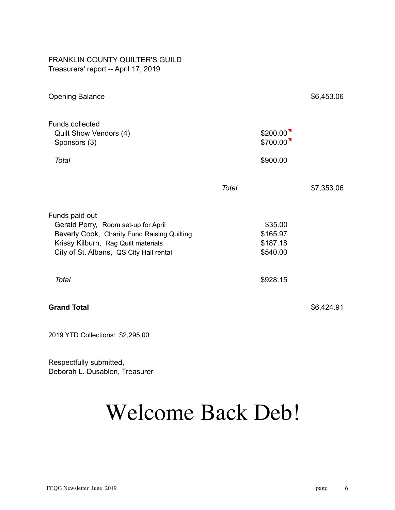#### FRANKLIN COUNTY QUILTER'S GUILD Treasurers' report -- April 17, 2019

| <b>Opening Balance</b>                                                                                                                                                                 |              |                                             | \$6,453.06 |
|----------------------------------------------------------------------------------------------------------------------------------------------------------------------------------------|--------------|---------------------------------------------|------------|
| <b>Funds collected</b><br>Quilt Show Vendors (4)<br>Sponsors (3)                                                                                                                       |              | \$200.00<br>\$700.00                        |            |
| <b>Total</b>                                                                                                                                                                           |              | \$900.00                                    |            |
|                                                                                                                                                                                        | <b>Total</b> |                                             | \$7,353.06 |
| Funds paid out<br>Gerald Perry, Room set-up for April<br>Beverly Cook, Charity Fund Raising Quilting<br>Krissy Kilburn, Rag Quilt materials<br>City of St. Albans, QS City Hall rental |              | \$35.00<br>\$165.97<br>\$187.18<br>\$540.00 |            |
| <b>Total</b>                                                                                                                                                                           |              | \$928.15                                    |            |
| <b>Grand Total</b>                                                                                                                                                                     |              |                                             | \$6,424.91 |
|                                                                                                                                                                                        |              |                                             |            |

2019 YTD Collections: \$2,295.00

Respectfully submitted, Deborah L. Dusablon, Treasurer

# Welcome Back Deb!